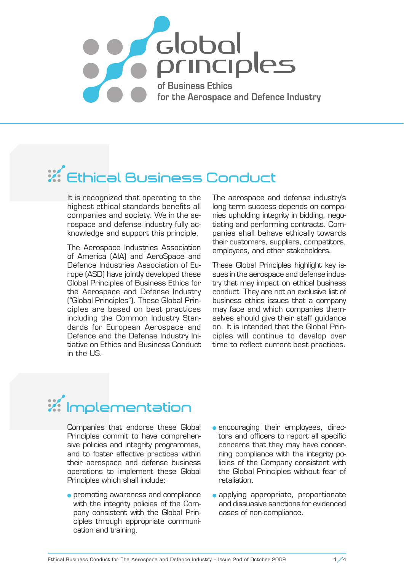

## **Ethical Business Conduct**

It is recognized that operating to the highest ethical standards benefits all companies and society. We in the aerospace and defense industry fully acknowledge and support this principle.

The Aerospace Industries Association of America (AIA) and AeroSpace and Defence Industries Association of Europe (ASD) have jointly developed these Global Principles of Business Ethics for the Aerospace and Defense Industry ("Global Principles"). These Global Principles are based on best practices including the Common Industry Standards for European Aerospace and Defence and the Defense Industry Initiative on Ethics and Business Conduct in the US.

The aerospace and defense industry's long term success depends on companies upholding integrity in bidding, negotiating and performing contracts. Companies shall behave ethically towards their customers, suppliers, competitors, employees, and other stakeholders.

These Global Principles highlight key issues in the aerospace and defense industry that may impact on ethical business conduct. They are not an exclusive list of business ethics issues that a company may face and which companies themselves should give their staff guidance on. It is intended that the Global Principles will continue to develop over time to reflect current best practices.

## **Implementation**

Companies that endorse these Global Principles commit to have comprehensive policies and integrity programmes, and to foster effective practices within their aerospace and defense business operations to implement these Global Principles which shall include:

- **•** promoting awareness and compliance with the integrity policies of the Company consistent with the Global Principles through appropriate communication and training.
- **e** encouraging their employees, directors and officers to report all specific concerns that they may have concerning compliance with the integrity policies of the Company consistent with the Global Principles without fear of retaliation.
- applying appropriate, proportionate and dissuasive sanctions for evidenced cases of non-compliance.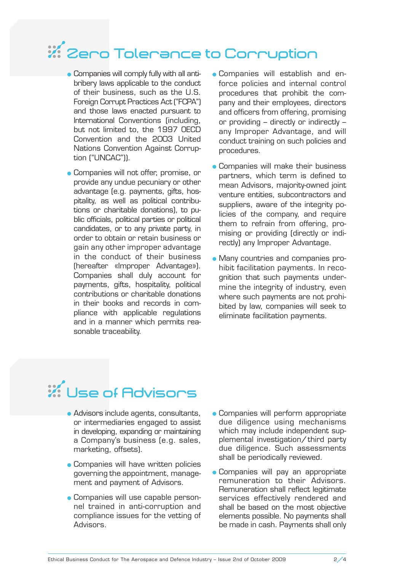# **Zero Tolerance to Corruption**

- Companies will comply fully with all antibribery laws applicable to the conduct of their business, such as the U.S. Foreign Corrupt Practices Act ("FCPA") and those laws enacted pursuant to International Conventions (including, but not limited to, the 1997 OECD Convention and the 2003 United Nations Convention Against Corruption ("UNCAC")).
- Companies will not offer, promise, or provide any undue pecuniary or other advantage (e.g. payments, gifts, hospitality, as well as political contributions or charitable donations), to public officials, political parties or political candidates, or to any private party, in order to obtain or retain business or gain any other improper advantage in the conduct of their business (hereafter «Improper Advantage»). Companies shall duly account for payments, gifts, hospitality, political contributions or charitable donations in their books and records in compliance with applicable regulations and in a manner which permits reasonable traceability.
- Companies will establish and enforce policies and internal control procedures that prohibit the company and their employees, directors and officers from offering, promising or providing – directly or indirectly – any Improper Advantage, and will conduct training on such policies and procedures.
- **Companies will make their business** partners, which term is defined to mean Advisors, majority-owned joint venture entities, subcontractors and suppliers, aware of the integrity policies of the company, and require them to refrain from offering, promising or providing (directly or indirectly) any Improper Advantage.
- Many countries and companies prohibit facilitation payments. In recognition that such payments undermine the integrity of industry, even where such payments are not prohibited by law, companies will seek to eliminate facilitation payments.

# **Use of Advisors**

- Advisors include agents, consultants, or intermediaries engaged to assist in developing, expanding or maintaining a Company's business (e.g. sales, marketing, offsets).
- Companies will have written policies governing the appointment, management and payment of Advisors.
- Companies will use capable personnel trained in anti-corruption and compliance issues for the vetting of Advisors.
- Companies will perform appropriate due diligence using mechanisms which may include independent supplemental investigation/ third party due diligence. Such assessments shall be periodically reviewed.
- **Companies will pay an appropriate** remuneration to their Advisors. Remuneration shall reflect legitimate services effectively rendered and shall be based on the most objective elements possible. No payments shall be made in cash. Payments shall only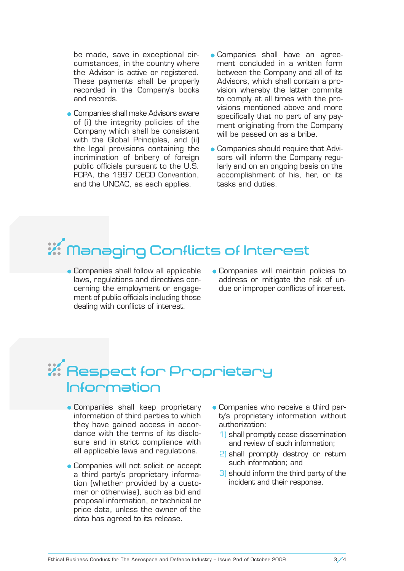be made, save in exceptional circum stances, in the country where the Advisor is active or registered. These payments shall be properly recorded in the Company's books and records.

- **Companies shall make Advisors aware** of (i) the integrity policies of the Company which shall be consistent with the Global Principles, and (ii) the legal provisions containing the incrimination of bribery of foreign public officials pursuant to the U.S. FCPA, the 1997 OECD Convention, and the UNCAC, as each applies.
- Companies shall have an agreement concluded in a written form between the Company and all of its Advisors, which shall contain a provision whereby the latter commits to comply at all times with the provisions mentioned above and more specifically that no part of any payment originating from the Company will be passed on as a bribe.
- Companies should require that Advisors will inform the Company regularly and on an ongoing basis on the accomplishment of his, her, or its tasks and duties.

# **Managing Conflicts of Interest**

- **Companies shall follow all applicable** laws, regulations and directives concerning the employment or engagement of public officials including those dealing with conflicts of interest.
- Companies will maintain policies to address or mitigate the risk of undue or improper conflicts of interest.

### **Respect for Proprietary Information**

- Companies shall keep proprietary information of third parties to which they have gained access in accordance with the terms of its disclosure and in strict compliance with all applicable laws and regulations.
- Companies will not solicit or accept a third party's proprietary information (whether provided by a customer or otherwise), such as bid and proposal information, or technical or price data, unless the owner of the data has agreed to its release.
- Companies who receive a third party's proprietary information without authorization:
	- 1) shall promptly cease dissemination and review of such information;
	- 2) shall promptly destroy or return such information; and
	- 3) should inform the third party of the incident and their response.